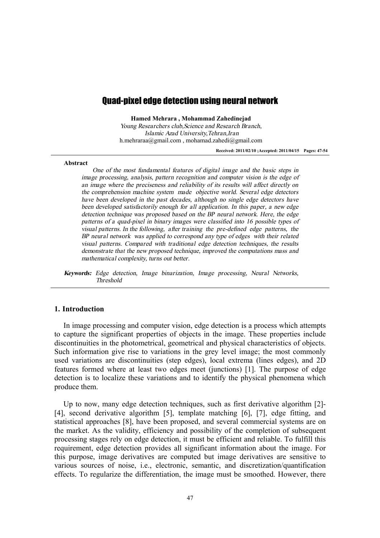# Quad-pixel edge detection using neural network

**Hamed Mehrara , Mohammad Zahedinejad** 

*Young Researchers club,Science and Research Branch, Islamic Azad University,Tehran,Iran*  h.mehraraa@gmail.com , mohamad.zahedi@gmail.com

**Received: 2011/02/10 ;Accepted: 2011/04/15 Pages: 47-54** 

### **Abstract**

*One of the most fundamental features of digital image and the basic steps in image processing, analysis, pattern recognition and computer vision is the edge of an image where the preciseness and reliability of its results will affect directly on the comprehension machine system made objective world. Several edge detectors have been developed in the past decades, although no single edge detectors have been developed satisfactorily enough for all application. In this paper, <sup>a</sup> new edge detection technique was proposed based on the BP neural network. Here, the edge patterns of <sup>a</sup> quad-pixel in binary images were classified into 16 possible types of visual patterns. In the following, after training the pre-defined edge patterns, the BP neural network was applied to correspond any type of edges with their related visual patterns. Compared with traditional edge detection techniques, the results demonstrate that the new proposed technique, improved the computations mass and mathematical complexity, turns out better.* 

*Keywords: Edge detection, Image binarization, Image processing, Neural Networks, Threshold* 

### **1. Introduction**

In image processing and computer vision, edge detection is a process which attempts to capture the significant properties of objects in the image. These properties include discontinuities in the photometrical, geometrical and physical characteristics of objects. Such information give rise to variations in the grey level image; the most commonly used variations are discontinuities (step edges), local extrema (lines edges), and 2D features formed where at least two edges meet (junctions) [1]. The purpose of edge detection is to localize these variations and to identify the physical phenomena which produce them.

Up to now, many edge detection techniques, such as first derivative algorithm [2]- [4], second derivative algorithm [5], template matching [6], [7], edge fitting, and statistical approaches [8], have been proposed, and several commercial systems are on the market. As the validity, efficiency and possibility of the completion of subsequent processing stages rely on edge detection, it must be efficient and reliable. To fulfill this requirement, edge detection provides all significant information about the image. For this purpose, image derivatives are computed but image derivatives are sensitive to various sources of noise, i.e., electronic, semantic, and discretization/quantification effects. To regularize the differentiation, the image must be smoothed. However, there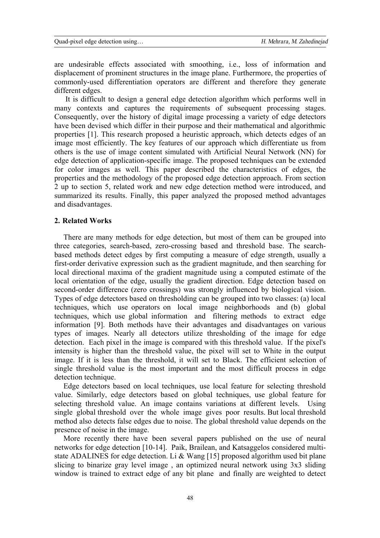are undesirable effects associated with smoothing, i.e., loss of information and displacement of prominent structures in the image plane. Furthermore, the properties of commonly-used differentiation operators are different and therefore they generate different edges.

 It is difficult to design a general edge detection algorithm which performs well in many contexts and captures the requirements of subsequent processing stages. Consequently, over the history of digital image processing a variety of edge detectors have been devised which differ in their purpose and their mathematical and algorithmic properties [1]. This research proposed a heuristic approach, which detects edges of an image most efficiently. The key features of our approach which differentiate us from others is the use of image content simulated with Artificial Neural Network (NN) for edge detection of application-specific image. The proposed techniques can be extended for color images as well. This paper described the characteristics of edges, the properties and the methodology of the proposed edge detection approach. From section 2 up to section 5, related work and new edge detection method were introduced, and summarized its results. Finally, this paper analyzed the proposed method advantages and disadvantages.

### **2. Related Works**

There are many methods for edge detection, but most of them can be grouped into three categories, search-based, zero-crossing based and threshold base. The searchbased methods detect edges by first computing a measure of edge strength, usually a first-order derivative expression such as the gradient magnitude, and then searching for local directional maxima of the gradient magnitude using a computed estimate of the local orientation of the edge, usually the gradient direction. Edge detection based on second-order difference (zero crossings) was strongly influenced by biological vision. Types of edge detectors based on thresholding can be grouped into two classes: (a) local techniques, which use operators on local image neighborhoods and (b) global techniques, which use global information and filtering methods to extract edge information [9]. Both methods have their advantages and disadvantages on various types of images. Nearly all detectors utilize thresholding of the image for edge detection. Each pixel in the image is compared with this threshold value. If the pixel's intensity is higher than the threshold value, the pixel will set to White in the output image. If it is less than the threshold, it will set to Black. The efficient selection of single threshold value is the most important and the most difficult process in edge detection technique.

Edge detectors based on local techniques, use local feature for selecting threshold value. Similarly, edge detectors based on global techniques, use global feature for selecting threshold value. An image contains variations at different levels. Using single global threshold over the whole image gives poor results. But local threshold method also detects false edges due to noise. The global threshold value depends on the presence of noise in the image.

More recently there have been several papers published on the use of neural networks for edge detection [10-14]. Paik, Brailean, and Katsaggelos considered multistate ADALINES for edge detection. Li & Wang [15] proposed algorithm used bit plane slicing to binarize gray level image , an optimized neural network using 3x3 sliding window is trained to extract edge of any bit plane and finally are weighted to detect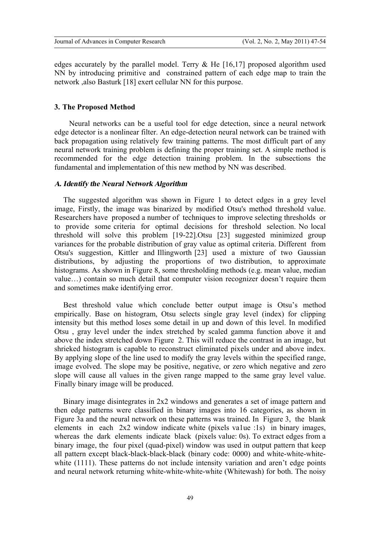edges accurately by the parallel model. Terry  $\&$  He [16,17] proposed algorithm used NN by introducing primitive and constrained pattern of each edge map to train the network ,also Basturk [18] exert cellular NN for this purpose.

### **3. The Proposed Method**

 Neural networks can be a useful tool for edge detection, since a neural network edge detector is a nonlinear filter. An edge-detection neural network can be trained with back propagation using relatively few training patterns. The most difficult part of any neural network training problem is defining the proper training set. A simple method is recommended for the edge detection training problem. In the subsections the fundamental and implementation of this new method by NN was described.

### *A. Identify the Neural Network Algorithm*

The suggested algorithm was shown in Figure 1 to detect edges in a grey level image, Firstly, the image was binarized by modified Otsu's method threshold value. Researchers have proposed a number of techniques to improve selecting thresholds or to provide some criteria for optimal decisions for threshold selection. No local threshold will solve this problem [19-22].Otsu [23] suggested minimized group variances for the probable distribution of gray value as optimal criteria. Different from Otsu's suggestion, Kittler and Illingworth [23] used a mixture of two Gaussian distributions, by adjusting the proportions of two distribution, to approximate histograms. As shown in Figure 8, some thresholding methods (e.g. mean value, median value…) contain so much detail that computer vision recognizer doesn't require them and sometimes make identifying error.

Best threshold value which conclude better output image is Otsu's method empirically. Base on histogram, Otsu selects single gray level (index) for clipping intensity but this method loses some detail in up and down of this level. In modified Otsu , gray level under the index stretched by scaled gamma function above it and above the index stretched down Figure 2. This will reduce the contrast in an image, but shrieked histogram is capable to reconstruct eliminated pixels under and above index. By applying slope of the line used to modify the gray levels within the specified range, image evolved. The slope may be positive, negative, or zero which negative and zero slope will cause all values in the given range mapped to the same gray level value. Finally binary image will be produced.

Binary image disintegrates in 2x2 windows and generates a set of image pattern and then edge patterns were classified in binary images into 16 categories, as shown in Figure 3a and the neural network on these patterns was trained. In Figure 3, the blank elements in each 2x2 window indicate white (pixels va1ue :1s) in binary images, whereas the dark elements indicate black (pixels value: 0s). To extract edges from a binary image, the four pixel (quad-pixel) window was used in output pattern that keep all pattern except black-black-black-black (binary code: 0000) and white-white-whitewhite (1111). These patterns do not include intensity variation and aren't edge points and neural network returning white-white-white-white (Whitewash) for both. The noisy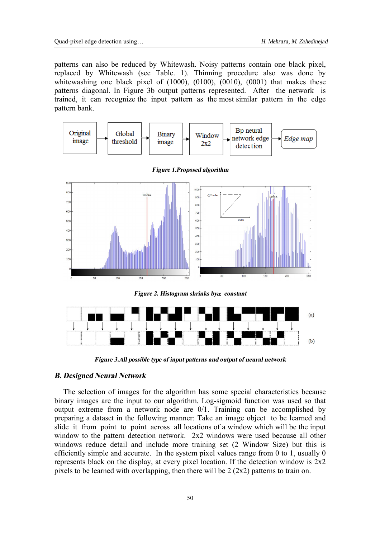#### Quad-pixel edge detection using… *H. Mehrara, M. Zahedinejad*

patterns can also be reduced by Whitewash. Noisy patterns contain one black pixel, replaced by Whitewash (see Table. 1). Thinning procedure also was done by whitewashing one black pixel of (1000), (0100), (0010), (0001) that makes these patterns diagonal. In Figure 3b output patterns represented. After the network is trained, it can recognize the input pattern as the most similar pattern in the edge pattern bank.





*Figure 1.Proposed algorithm* 

*Figure 2. Histogram shrinks bya constant* 



*Figure 3.All possible type of input patterns andoutput of neural network* 

### *B. Designed Neural Network*

The selection of images for the algorithm has some special characteristics because binary images are the input to our algorithm. Log-sigmoid function was used so that output extreme from a network node are 0/1. Training can be accomplished by preparing a dataset in the following manner: Take an image object to be learned and slide it from point to point across all locations of a window which will be the input window to the pattern detection network. 2x2 windows were used because all other windows reduce detail and include more training set (2 Window Size) but this is efficiently simple and accurate. In the system pixel values range from 0 to 1, usually 0 represents black on the display, at every pixel location. If the detection window is  $2x2$ pixels to be learned with overlapping, then there will be 2 (2x2) patterns to train on.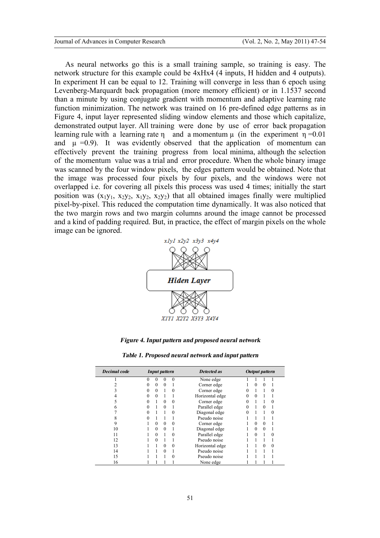As neural networks go this is a small training sample, so training is easy. The network structure for this example could be 4xHx4 (4 inputs, H hidden and 4 outputs). In experiment H can be equal to 12. Training will converge in less than 6 epoch using Levenberg-Marquardt back propagation (more memory efficient) or in 1.1537 second than a minute by using conjugate gradient with momentum and adaptive learning rate function minimization. The network was trained on 16 pre-defined edge patterns as in Figure 4, input layer represented sliding window elements and those which capitalize, demonstrated output layer. All training were done by use of error back propagation learning rule with a learning rate  $\eta$  and a momentum  $\mu$  (in the experiment  $\eta = 0.01$ and  $\mu = 0.9$ . It was evidently observed that the application of momentum can effectively prevent the training progress from local minima, although the selection of the momentum value was a trial and error procedure. When the whole binary image was scanned by the four window pixels, the edges pattern would be obtained. Note that the image was processed four pixels by four pixels, and the windows were not overlapped i.e. for covering all pixels this process was used 4 times; initially the start position was  $(x_1y_1, x_2y_2, x_1y_2, x_2y_2)$  that all obtained images finally were multiplied pixel-by-pixel. This reduced the computation time dynamically. It was also noticed that the two margin rows and two margin columns around the image cannot be processed and a kind of padding required. But, in practice, the effect of margin pixels on the whole image can be ignored.



*Figure 4. Input pattern and proposed neural network* 

| <b>Decimal</b> code | Input pattern |          |          |          | <b>Detected as</b> | <b>Output</b> pattern |          |          |          |
|---------------------|---------------|----------|----------|----------|--------------------|-----------------------|----------|----------|----------|
|                     | 0             | 0        |          | $\theta$ | None edge          |                       |          |          |          |
|                     |               | 0        | $\Omega$ |          | Corner edge        |                       |          | $\Omega$ |          |
|                     | 0             | 0        |          | $\theta$ | Corner edge        | 0                     |          |          | $\Omega$ |
|                     |               | $\theta$ |          |          | Horizontal edge    | 0                     |          |          |          |
|                     |               |          | $\Omega$ | 0        | Corner edge        | 0                     |          |          | 0        |
| n                   |               |          | $\Omega$ |          | Parallel edge      | 0                     |          | $\theta$ |          |
|                     |               |          |          | 0        | Diagonal edge      | 0                     |          |          | 0        |
|                     |               |          |          |          | Pseudo noise       |                       |          |          |          |
| 9                   |               | 0        | $\Omega$ | 0        | Corner edge        |                       |          | $\Omega$ |          |
| 10                  |               | 0        | $\Omega$ |          | Diagonal edge      |                       | $\Omega$ | $\theta$ |          |
| 11                  |               | 0        |          | 0        | Parallel edge      |                       | $\Omega$ |          | $\theta$ |
| 12                  |               | 0        |          |          | Pseudo noise       |                       |          |          |          |
| 13                  |               |          | $\Omega$ | 0        | Horizontal edge    |                       |          | $\Omega$ | $\theta$ |
| 14                  |               |          | 0        |          | Pseudo noise       |                       |          |          |          |
| 15                  |               |          |          | 0        | Pseudo noise       |                       |          |          |          |
| 16                  |               |          |          |          | None edge          |                       |          |          |          |

*Table 1. Proposed neural networkand input pattern*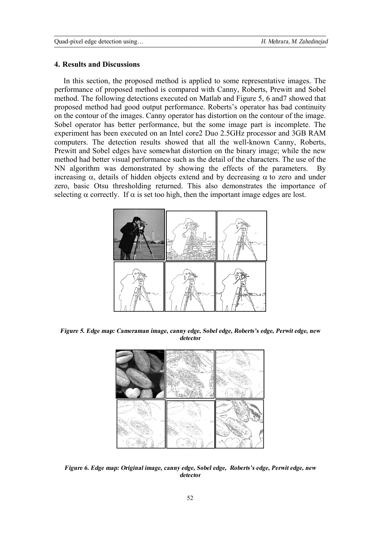### **4. Results and Discussions**

performance of proposed method is compared with Canny, Roberts, Prewitt and Sobel method. The following detections executed on Matlab and Figure 5, 6 and 7 showed that proposed method had good output performance. Roberts's operator has bad continuity proposed method had good output performance. Roberts's operator has bad continuity<br>on the contour of the images. Canny operator has distortion on the contour of the image. Sobel operator has better performance, but the some image part is incomplete. The experiment has been executed on an Intel core2 Duo 2.5GHz processor and 3GB RAM computers. The detection results showed that all the well-known Canny, Roberts, Prewitt and Sobel edges have somewhat distortion on the binary image; while the new Prewitt and Sobel edges have somewhat distortion on the binary image; while the new method had better visual performance such as the detail of the characters. The use of the NN algorithm was demonstrated by showing the effects of the parameters. increasing  $\alpha$ , details of hidden objects extend and by decreasing  $\alpha$  to zero and under zero, basic Otsu thresholding returned. This also demonstrates the importance of selecting  $\alpha$  correctly. If  $\alpha$ In this section, the proposed method is applied to some representative images. The In this section, the proposed method is applied to some representative images. The formance of proposed method is compared with Canny, Roberts, Prewitt and Sobel thod. The following detections executed on Matlab and Figure , details of hidden objects extend and by decreasing  $\alpha$  to zero and Otsu thresholding returned. This also demonstrates the important orrectly. If  $\alpha$  is set too high, then the important image edges are lost. By



*Figure 5. Edge map: Cameraman image, canny edge, Sobel edge, Roberts'<sup>s</sup> edge, Perwit edge, new detector*



*Figure 6. Edge map: Original image, canny edge, Sobel edge, Roberts'<sup>s</sup> edge, Perwit edge, new detector*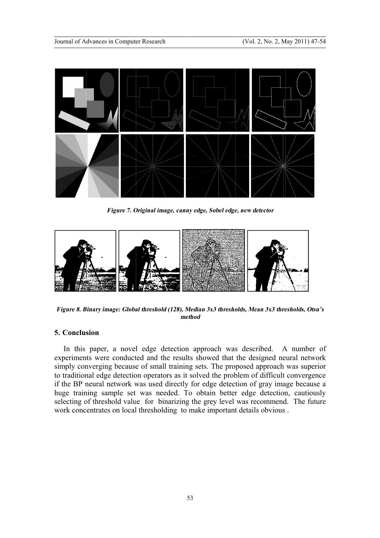

*7. Original image, canny edge, Sobel edge, new detector edge, Sobel*



*Figure 8. Binary image: Global threshold (128), Median 3x3 thresholds, Mean 3x3 thresholds, Otsu's method*

## **5. Conclusion**

In this paper, a novel edge detection approach was described. A number of experiments were conducted and the results showed that the designed neural network simply converging because of small training sets. The proposed approach was superior to traditional edge detection operators as it solved the problem of difficult convergence if the BP neural network was used directly for edge detection of gray image because a huge training sample set was needed. To obtain better edge detection, cautiously selecting of threshold value for binarizing the grey le huge training sample set was needed. To obtain better edge detection, cautiously selecting of threshold value for binarizing the grey level was recommend. The future work concentrates on local thresholding to make important details obvious. In this paper, a novel edge detection approach was described. A number of